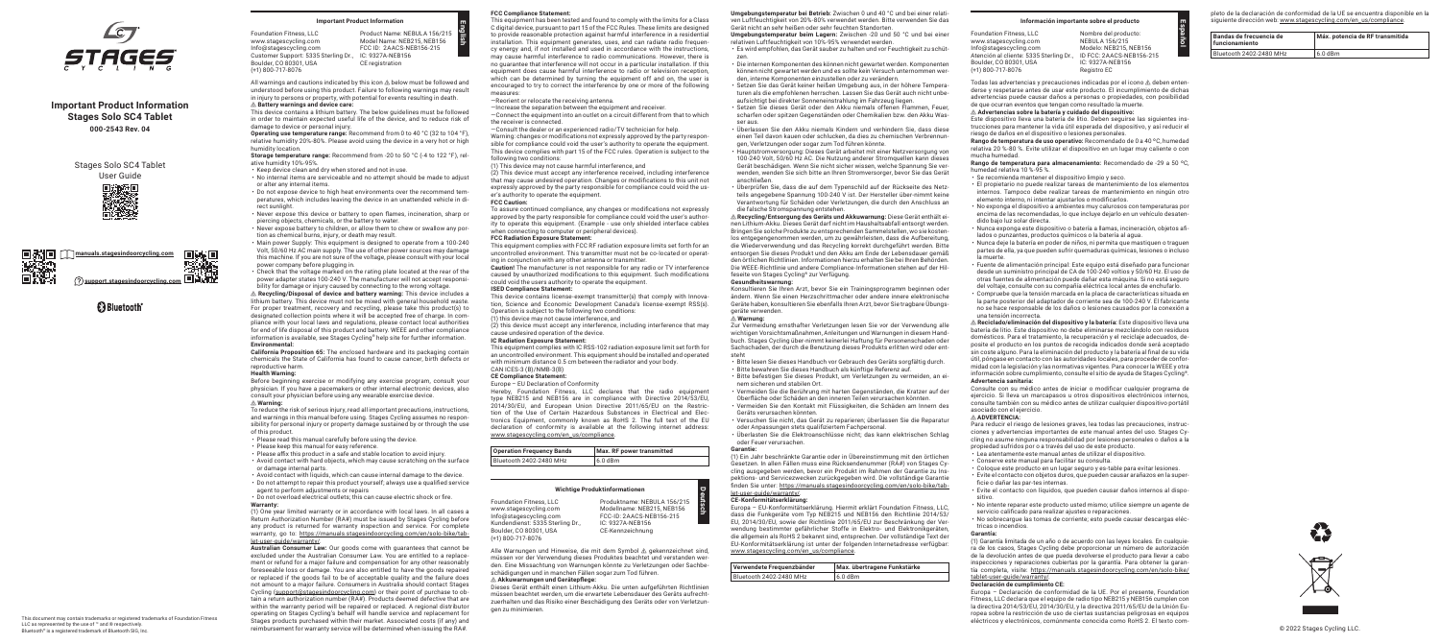**English**

**Deutsch**



LLC as represented by the use of ™ and ® respectively. Bluetooth® is a registered trademark of Bluetooth SIG, Inc.

This document may contain trademarks or registered trademarks of Foundation Fitness

Foundation Fitness, LLC www.stagescycling.com Info@stagescycling.com Customer Support: 5335 Sterling Dr., IC: 9327A-NEB156 Boulder, CO 80301, USA (+1) 800-717-8076 Product Name: NEBULA 156/215 Model Name: NEB215, NEB156 FCC ID: 2AACS-NEB156-215 CE registration



## **Important Product Information Stages Solo SC4 Tablet 000-2543 Rev. 04**



# **B** Bluetooth<sup>®</sup>

Stages Solo SC4 Tablet User Guide



### **Important Product Information**

All warnings and cautions indicated by this icon ⚠ below must be followed and understood before using this product. Failure to following warnings may result in injury to persons or property, with potential for events resulting in death.

- ⚠ **Battery warnings and device care:** This device contains a lithium battery. The below guidelines must be followed in order to maintain expected useful life of the device, and to reduce risk of damage to device or personal injury.
- **Operating use temperature range:** Recommend from 0 to 40 °C (32 to 104 °F), relative humidity 20%-80%. Please avoid using the device in a very hot or high humidity location.
- **Storage temperature range:** Recommend from -20 to 50 °C (-4 to 122 °F), relative humidity 10%-95%.
- Keep device clean and dry when stored and not in use.
- No internal items are serviceable and no attempt should be made to adjust or alter any internal items.
- Do not expose device to high heat environments over the recommend temperatures, which includes leaving the device in an unattended vehicle in direct sunlight.
- Never expose this device or battery to open flames, incineration, sharp or piercing objects, chemicals, or the battery to water.
- Never expose battery to children, or allow them to chew or swallow any portion as chemical burns, injury, or death may result.
- Main power Supply: This equipment is designed to operate from a 100-240 Volt, 50/60 Hz AC main supply. The use of other power sources may damage this machine. If you are not sure of the voltage, please consult with your local
- power company before plugging in. • Check that the voltage marked on the rating plate located at the rear of the power adapter states 100-240 V. The manufacturer will not accept responsibility for damage or injury caused by connecting to the wrong voltage.

⚠ **Recycling/Disposal of device and battery warning:** This device includes a lithium battery. This device must not be mixed with general household waste. For proper treatment, recovery and recycling, please take this product(s) to designated collection points where it will be accepted free of charge. In compliance with your local laws and regulations, please contact local authorities for end of life disposal of this product and battery. WEEE and other compliance information is available, see Stages Cycling® help site for further information. **Environmental:**

**California Proposition 65:** The enclosed hardware and its packaging contain chemicals the State of California has found to cause cancer, birth defects or reproductive harm.

#### **Health Warning:**

Before beginning exercise or modifying any exercise program, consult your physician. If you have a pacemakers or other internal electronic devices, also consult your physician before using any wearable exercise device.

### ⚠ **Warning:**

To reduce the risk of serious injury, read all important precautions, instructions, and warnings in this manual before using. Stages Cycling assumes no responsibility for personal injury or property damage sustained by or through the use of this product.

- Please read this manual carefully before using the device.
- Please keep this manual for easy reference.
- Please affix this product in a safe and stable location to avoid injury. • Avoid contact with hard objects, which may cause scratching on the surface
- or damage internal parts.
- Avoid contact with liquids, which can cause internal damage to the device.
- Do not attempt to repair this product yourself; always use a qualified service agent to perform adjustments or repairs
- Do not overload electrical outlets; this can cause electric shock or fire.

#### **Warranty:**

(1) One year limited warranty or in accordance with local laws. In all cases a Return Authorization Number (RA#) must be issued by Stages Cycling before any product is returned for warranty inspection and service. For complete warranty, go to: [https://manuals.stagesindoorcycling.com/en/solo-bike/tab](https://manuals.stagesindoorcycling.com/en/solo-bike/tablet-user-guide/warranty/)[let-user-guide/warranty/.](https://manuals.stagesindoorcycling.com/en/solo-bike/tablet-user-guide/warranty/)

**Australian Consumer Law:** Our goods come with guarantees that cannot be excluded under the Australian Consumer Law. You are entitled to a replacement or refund for a major failure and compensation for any other reasonably foreseeable loss or damage. You are also entitled to have the goods repaired or replaced if the goods fail to be of acceptable quality and the failure does not amount to a major failure. Consumers in Australia should contact Stages Cycling [\(support@stagesindoorcycling.com\)](mailto:support%40stagesindoorcycling.com?subject=) or their point of purchase to obtain a return authorization number (RA#). Products deemed defective that are within the warranty period will be repaired or replaced. A regional distributor operating on Stages Cycling's behalf will handle service and replacement for Stages products purchased within their market. Associated costs (if any) and reimbursement for warranty service will be determined when issuing the RA#.

#### **FCC Compliance Statement:**

This equipment has been tested and found to comply with the limits for a Class C digital device, pursuant to part 15 of the FCC Rules. These limits are designed to provide reasonable protection against harmful interference in a residential installation. This equipment generates, uses, and can radiate radio frequency energy and, if not installed and used in accordance with the instructions, may cause harmful interference to radio communications. However, there is no guarantee that interference will not occur in a particular installation. If this equipment does cause harmful interference to radio or television reception, which can be determined by turning the equipment off and on, the user is encouraged to try to correct the interference by one or more of the following measures:

- —Reorient or relocate the receiving antenna.
- —Increase the separation between the equipment and receiver.
- —Connect the equipment into an outlet on a circuit different from that to which the receiver is connected.
- —Consult the dealer or an experienced radio/TV technician for help. Warning: changes or modifications not expressly approved by the party responsible for compliance could void the user's authority to operate the equipment. This device complies with part 15 of the FCC rules. Operation is subject to the following two conditions:
- (1) This device may not cause harmful interference, and

(2) This device must accept any interference received, including interference that may cause undesired operation. Changes or modifications to this unit not expressly approved by the party responsible for compliance could void the user's authority to operate the equipment.

### **FCC Caution:**

To assure continued compliance, any changes or modifications not expressly approved by the party responsible for compliance could void the user's authority to operate this equipment. (Example - use only shielded interface cables when connecting to computer or peripheral devices). **FCC Radiation Exposure Statement:**

This equipment complies with FCC RF radiation exposure limits set forth for an uncontrolled environment. This transmitter must not be co-located or operating in conjunction with any other antenna or transmitter.

**Caution!** The manufacturer is not responsible for any radio or TV interference caused by unauthorized modifications to this equipment. Such modifications could void the users authority to operate the equipment. **ISED Compliance Statement:**

This device contains license-exempt transmitter(s) that comply with Innovation, Science and Economic Development Canada's license-exempt RSS(s). Operation is subject to the following two conditions: (1) this device may not cause interference, and

(2) this device must accept any interference, including interference that may cause undesired operation of the device.

#### **IC Radiation Exposure Statement:**

This equipment complies with IC RSS-102 radiation exposure limit set forth for an uncontrolled environment. This equipment should be installed and operated with minimum distance 0.5 cm between the radiator and your body. CAN ICES-3 (B)/NMB-3(B)

#### **CE Compliance Statement:**

#### Europe – EU Declaration of Conformity

Hereby, Foundation Fitness, LLC declares that the radio equipment type NEB215 and NEB156 are in compliance with Directive 2014/53/EU, 2014/30/EU, and European Union Directive 2011/65/EU on the Restriction of the Use of Certain Hazardous Substances in Electrical and Electronics Equipment, commonly known as RoHS 2. The full text of the EU declaration of conformity is available at the following internet address: [www.stagescycling.com/en\\_us/compliance.](https://stagescycling.com/en_us/compliance)

| <b>Operation Frequency Bands</b> | Max. RF power transmitted |
|----------------------------------|---------------------------|
| Bluetooth 2402-2480 MHz          | 6.0 dBm                   |

#### **Wichtige Produktinformationen**

Foundation Fitness, LLC www.stagescycling.com Info@stagescycling.com

Boulder, CO 80301, USA (+1) 800-717-8076

Kundendienst: 5335 Sterling Dr., Produktname: NEBULA 156/215 Modellname: NEB215, NEB156 FCC-ID: 2AACS-NEB156-215 IC: 9327A-NEB156 CE-Kennzeichnung

Alle Warnungen und Hinweise, die mit dem Symbol ⚠ gekennzeichnet sind, müssen vor der Verwendung dieses Produktes beachtet und verstanden werden. Eine Missachtung von Warnungen könnte zu Verletzungen oder Sachbeschädigungen und in manchen Fällen sogar zum Tod führen. ⚠ **Akkuwarnungen und Gerätepflege:**

Dieses Gerät enthält einen Lithium-Akku. Die unten aufgeführten Richtlinien müssen beachtet werden, um die erwartete Lebensdauer des Geräts aufrechtzuerhalten und das Risiko einer Beschädigung des Geräts oder von Verletzungen zu minimieren.

**Umgebungstemperatur bei Betrieb:** Zwischen 0 und 40 °C und bei einer relativen Luftfeuchtigkeit von 20%-80% verwendet werden. Bitte verwenden Sie das Gerät nicht an sehr heißen oder sehr feuchten Standorten.

- **Umgebungstemperatur beim Lagern:** Zwischen -20 und 50 °C und bei einer relativen Luftfeuchtigkeit von 10%-95% verwendet werden. • Es wird empfohlen, das Gerät sauber zu halten und vor Feuchtigkeit zu schüt-
- zen.
- Die internen Komponenten des können nicht gewartet werden. Komponenten können nicht gewartet werden und es sollte kein Versuch unternommen werden, interne Komponenten einzustellen oder zu verändern.
- Setzen Sie das Gerät keiner heißen Umgebung aus, in der höhere Temperaturen als die empfohlenen herrschen. Lassen Sie das Gerät auch nicht unbeaufsichtigt bei direkter Sonneneinstrahlung im Fahrzeug liegen. • Setzen Sie dieses Gerät oder den Akku niemals offenen Flammen, Feuer,
- scharfen oder spitzen Gegenständen oder Chemikalien bzw. den Akku Wasser aus.
- Überlassen Sie den Akku niemals Kindern und verhindern Sie, dass diese einen Teil davon kauen oder schlucken, da dies zu chemischen Verbrennungen, Verletzungen oder sogar zum Tod führen könnte.
- Hauptstromversorgung: Dieses Gerät arbeitet mit einer Netzversorgung von 100-240 Volt, 50/60 Hz AC. Die Nutzung anderer Stromquellen kann dieses Gerät beschädigen. Wenn Sie nicht sicher wissen, welche Spannung Sie verwenden, wenden Sie sich bitte an Ihren Stromversorger, bevor Sie das Gerät anschließen.
- Überprüfen Sie, dass die auf dem Typenschild auf der Rückseite des Netzteils angegebene Spannung 100-240 V ist. Der Hersteller über-nimmt keine Verantwortung für Schäden oder Verletzungen, die durch den Anschluss an die falsche Stromspannung entstehen.

⚠ **Recycling/Entsorgung des Geräts und Akkuwarnung:** Diese Gerät enthält einen Lithium-Akku. Dieses Gerät darf nicht im Haushaltsabfall entsorgt werden. Bringen Sie solche Produkte zu entsprechenden Sammelstellen, wo sie kostenlos entgegengenommen werden, um zu gewährleisten, dass die Aufbereitung, die Wiederverwendung und das Recycling korrekt durchgeführt werden. Bitte entsorgen Sie dieses Produkt und den Akku am Ende der Lebensdauer gemäß den örtlichen Richtlinien. Informationen hierzu erhalten Sie bei Ihren Behörden. Die WEEE-Richtlinie und andere Compliance-Informationen stehen auf der Hilfeseite von Stages Cycling® zur Verfügung.

#### **Gesundheitswarnung:**

Konsultieren Sie Ihren Arzt, bevor Sie ein Trainingsprogramm beginnen oder ändern. Wenn Sie einen Herzschrittmacher oder andere innere elektronische Geräte haben, konsultieren Sie ebenfalls Ihren Arzt, bevor Sie tragbare Übungsgeräte verwenden.

#### ⚠ **Warnung:**

Zur Vermeidung ernsthafter Verletzungen lesen Sie vor der Verwendung alle wichtigen Vorsichtsmaßnahmen, Anleitungen und Warnungen in diesem Handbuch. Stages Cycling über-nimmt keinerlei Haftung für Personenschaden oder Sachschaden, der durch die Benutzung dieses Produkts erlitten wird oder entsteht

- Bitte lesen Sie dieses Handbuch vor Gebrauch des Geräts sorgfältig durch.
- Bitte bewahren Sie dieses Handbuch als künftige Referenz auf.
- Bitte befestigen Sie dieses Produkt, um Verletzungen zu vermeiden, an einem sicheren und stabilen Ort.
- Vermeiden Sie die Berührung mit harten Gegenständen, die Kratzer auf der Oberfläche oder Schäden an den inneren Teilen verursachen könnten.
- Vermeiden Sie den Kontakt mit Flüssigkeiten, die Schäden am Innern des Geräts verursachen könnten.
- Versuchen Sie nicht, das Gerät zu reparieren; überlassen Sie die Reparatur oder Anpassungen stets qualifiziertem Fachpersonal.
- Überlasten Sie die Elektroanschlüsse nicht; das kann elektrischen Schlag oder Feuer verursachen.

#### **Garantie:**

(1) Ein Jahr beschränkte Garantie oder in Übereinstimmung mit den örtlichen Gesetzen. In allen Fällen muss eine Rücksendenummer (RA#) von Stages Cycling ausgegeben werden, bevor ein Produkt im Rahmen der Garantie zu Inspektions- und Servicezwecken zurückgegeben wird. Die vollständige Garantie finden Sie unter: [https://manuals.stagesindoorcycling.com/en/solo-bike/tab](https://manuals.stagesindoorcycling.com/en/solo-bike/tablet-user-guide/warranty/)[let-user-guide/warranty/](https://manuals.stagesindoorcycling.com/en/solo-bike/tablet-user-guide/warranty/).

#### **CE-Konformitätserklärung:**

Europa – EU-Konformitätserklärung. Hiermit erklärt Foundation Fitness, LLC, dass die Funkgeräte vom Typ NEB215 und NEB156 den Richtlinie 2014/53/ EU, 2014/30/EU, sowie der Richtlinie 2011/65/EU zur Beschränkung der Verwendung bestimmter gefährlicher Stoffe in Elektro- und Elektronikgeräten, die allgemein als RoHS 2 bekannt sind, entsprechen. Der vollständige Text der EU-Konformitätserklärung ist unter der folgenden Internetadresse verfügbar: [www.stagescycling.com/en\\_us/compliance.](https://stagescycling.com/en_us/compliance)

| Verwendete Frequenzbänder | Max. übertragene Funkstärke |
|---------------------------|-----------------------------|
| Bluetooth 2402-2480 MHz   | $16.0$ dBm                  |

#### **Información importante sobre el producto**

| <b>Foundation Fitness, LLC</b>          | Nom        |
|-----------------------------------------|------------|
| www.stagescycling.com                   | <b>NFB</b> |
| Info@stagescycling.com                  | Mod        |
| Atención al cliente: 5335 Sterling Dr., | ID FO      |
| Boulder, CO 80301, USA                  | IC:9       |
| $(+1)$ 800-717-8076                     | Regi       |
|                                         |            |

Todas las advertencias y precauciones indicadas por el icono ⚠ deben entenderse y respetarse antes de usar este producto. El incumplimiento de dichas advertencias puede causar daños a personas o propiedades, con posibilidad de que ocurran eventos que tengan como resultado la muerte. ⚠ **Advertencias sobre la batería y cuidado del dispositivo:** Este dispositivo lleva una batería de litio. Deben seguirse las siguientes instrucciones para mantener la vida útil esperada del dispositivo, y así reducir el riesgo de daños en el dispositivo o lesiones personales. **Rango de temperatura de uso operativo:** Recomendado de 0 a 40 ºC, humedad relativa 20 %-80 %. Evite utilizar el dispositivo en un lugar muy caliente o con mucha humedad.

#### **Rango de temperatura para almacenamiento:** Recomendado de -29 a 50 ºC, humedad relativa 10 %-95 %.

• Nunca exponga este dispositivo o batería a llamas, incineración, objetos afi-

- Se recomienda mantener el dispositivo limpio y seco. • El propietario no puede realizar tareas de mantenimiento de los elementos internos. Tampoco debe realizar tareas de mantenimiento en ningún otro elemento interno, ni intentar ajustarlos o modificarlos. • No exponga el dispositivo a ambientes muy calurosos con temperaturas por
- encima de las recomendadas, lo que incluye dejarlo en un vehículo desatendido bajo luz solar directa.
- lados o punzantes, productos químicos o la batería al agua. • Nunca deje la batería en poder de niños, ni permita que mastiquen o traguen partes de ella, ya que pueden sufrir quemaduras químicas, lesiones o incluso la muerte.
- Fuente de alimentación principal: Este equipo está diseñado para funcionar desde un suministro principal de CA de 100-240 voltios y 50/60 Hz. El uso de otras fuentes de alimentación puede dañar esta máquina. Si no está seguro del voltaje, consulte con su compañía eléctrica local antes de enchufarlo. • Compruebe que la tensión marcada en la placa de características situada en la parte posterior del adaptador de corriente sea de 100-240 V. El fabricante no se hace responsable de los daños o lesiones causados por la conexión a

# una tensión incorrecta.

⚠ **Reciclado/eliminación del dispositivo y la batería:** Este dispositivo lleva una batería de litio. Este dispositivo no debe eliminarse mezclándolo con residuos domésticos. Para el tratamiento, la recuperación y el reciclaje adecuados, deposite el producto en los puntos de recogida indicados donde será aceptado sin coste alguno. Para la eliminación del producto y la batería al final de su vida útil, póngase en contacto con las autoridades locales, para proceder de conformidad con la legislación y las normativas vigentes. Para conocer la WEEE y otra información sobre cumplimiento, consulte el sitio de ayuda de Stages Cycling®.

### **Advertencia sanitaria:**

Consulte con su médico antes de iniciar o modificar cualquier programa de ejercicio. Si lleva un marcapasos u otros dispositivos electrónicos internos, consulte también con su médico antes de utilizar cualquier dispositivo portátil

asociado con el ejercicio.

#### ⚠ **ADVERTENCIA:**

Para reducir el riesgo de lesiones graves, lea todas las precauciones, instrucciones y advertencias importantes de este manual antes del uso. Stages Cycling no asume ninguna responsabilidad por lesiones personales o daños a la propiedad sufridos por o a través del uso de este producto.

• Lea atentamente este manual antes de utilizar el dispositivo.

• Conserve este manual para facilitar su consulta.

• Coloque este producto en un lugar seguro y es-table para evitar lesiones. • Evite el contacto con objetos duros, que pueden causar arañazos en la super-

ficie o dañar las par-tes internas.

• Evite el contacto con líquidos, que pueden causar daños internos al dispo-

sitivo.

bre del producto: ULA 156/215 elo: NEB215, NEB156 C: 2AACS-NEB156-215 IC: 9327A-NEB156 stro EC

• No intente reparar este producto usted mismo; utilice siempre un agente de servicio calificado para realizar ajustes o reparaciones.

• No sobrecargue las tomas de corriente; esto puede causar descargas eléc-

tricas o incendios. **Garantía:**

(1) Garantía limitada de un año o de acuerdo con las leyes locales. En cualquiera de los casos, Stages Cycling debe proporcionar un número de autorización de la devolución antes de que pueda devolverse el producto para llevar a cabo inspecciones y reparaciones cubiertas por la garantía. Para obtener la garantía completa, visite: [https://manuals.stagesindoorcycling.com/en/solo-bike/](https://manuals.stagesindoorcycling.com/en/solo-bike/tablet-user-guide/warranty/)

[tablet-user-guide/warranty/.](https://manuals.stagesindoorcycling.com/en/solo-bike/tablet-user-guide/warranty/) **Declaración de cumplimiento CE:**

Europa – Declaración de conformidad de la UE. Por el presente, Foundation Fitness, LLC declara que el equipo de radio tipo NEB215 y NEB156 cumplen con la directiva 2014/53/EU, 2014/30/EU, y la directiva 2011/65/EU de la Unión Europea sobre la restricción de uso de ciertas sustancias peligrosas en equipos eléctricos y electrónicos, comúnmente conocida como RoHS 2. El texto com-



pleto de la declaración de conformidad de la UE se encuentra disponible en la siguiente dirección web: [www.stagescycling.com/en\\_us/compliance.](https://stagescycling.com/en_us/compliance)

| Bandas de frecuencia de<br>funcionamiento | Máx, potencia de RF transmitida |
|-------------------------------------------|---------------------------------|
| Bluetooth 2402-2480 MHz                   | $6.0$ dBm                       |